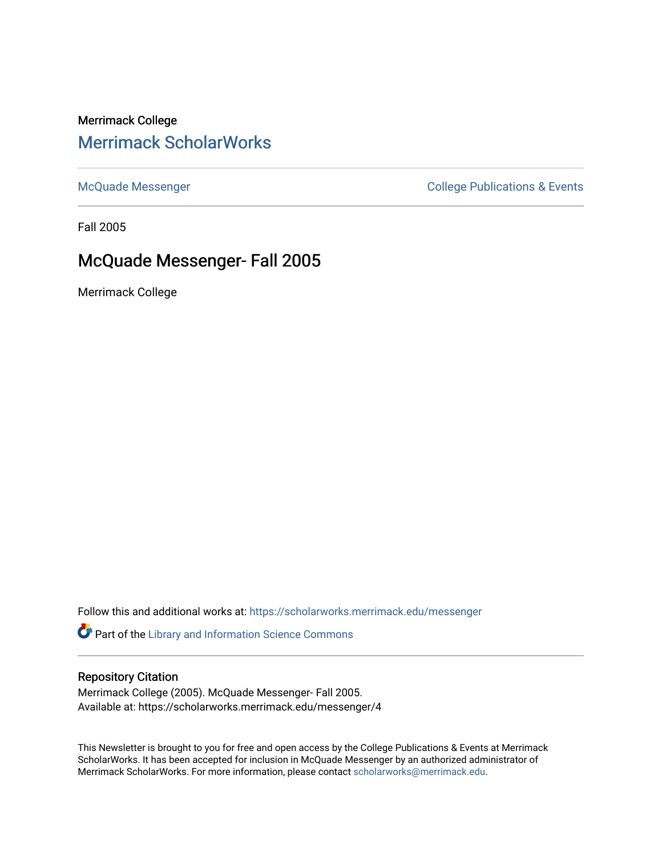### Merrimack College [Merrimack ScholarWorks](https://scholarworks.merrimack.edu/)

[McQuade Messenger](https://scholarworks.merrimack.edu/messenger) College Publications & Events

Fall 2005

## McQuade Messenger- Fall 2005

Merrimack College

Follow this and additional works at: [https://scholarworks.merrimack.edu/messenger](https://scholarworks.merrimack.edu/messenger?utm_source=scholarworks.merrimack.edu%2Fmessenger%2F4&utm_medium=PDF&utm_campaign=PDFCoverPages) 

Part of the [Library and Information Science Commons](http://network.bepress.com/hgg/discipline/1018?utm_source=scholarworks.merrimack.edu%2Fmessenger%2F4&utm_medium=PDF&utm_campaign=PDFCoverPages) 

#### Repository Citation

Merrimack College (2005). McQuade Messenger- Fall 2005. Available at: https://scholarworks.merrimack.edu/messenger/4

This Newsletter is brought to you for free and open access by the College Publications & Events at Merrimack ScholarWorks. It has been accepted for inclusion in McQuade Messenger by an authorized administrator of Merrimack ScholarWorks. For more information, please contact [scholarworks@merrimack.edu](mailto:scholarworks@merrimack.edu).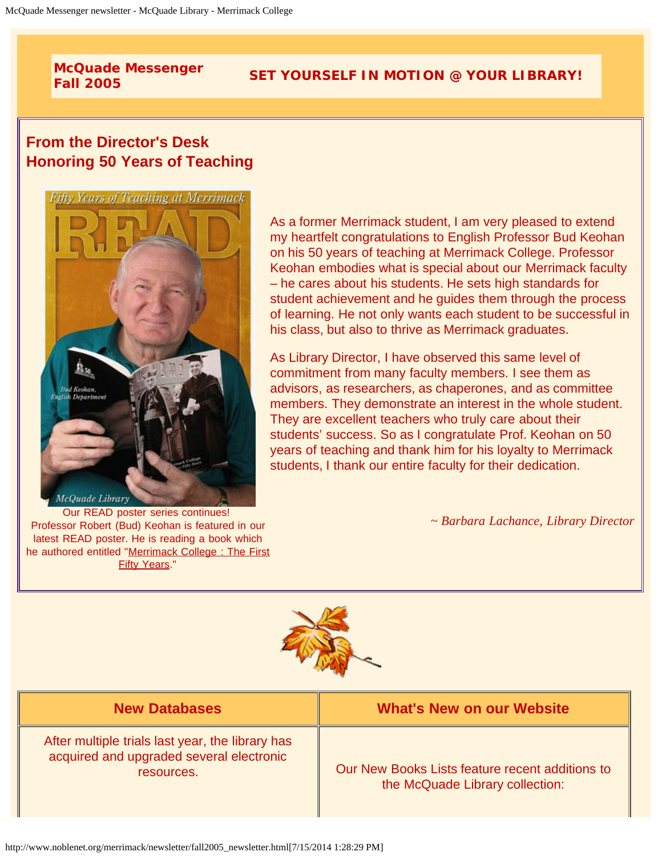# **McQuade Messenger**

# **Fall 2005 SET YOURSELF IN MOTION @ YOUR LIBRARY!**

### **From the Director's Desk Honoring 50 Years of Teaching**



Our READ poster series continues! Professor Robert (Bud) Keohan is featured in our latest READ poster. He is reading a book which he authored entitled "[Merrimack College : The First](http://catalog.noblenet.org/search%7E/t?merrimack%20college:%20the%20first%20fifty%20years) **[Fifty Years](http://catalog.noblenet.org/search%7E/t?merrimack%20college:%20the%20first%20fifty%20years)."** 

As a former Merrimack student, I am very pleased to extend my heartfelt congratulations to English Professor Bud Keohan on his 50 years of teaching at Merrimack College. Professor Keohan embodies what is special about our Merrimack faculty – he cares about his students. He sets high standards for student achievement and he guides them through the process of learning. He not only wants each student to be successful in his class, but also to thrive as Merrimack graduates.

As Library Director, I have observed this same level of commitment from many faculty members. I see them as advisors, as researchers, as chaperones, and as committee members. They demonstrate an interest in the whole student. They are excellent teachers who truly care about their students' success. So as I congratulate Prof. Keohan on 50 years of teaching and thank him for his loyalty to Merrimack students, I thank our entire faculty for their dedication.

*~ Barbara Lachance, Library Director*



| <b>New Databases</b>                                                                                       | <b>What's New on our Website</b>                                                   |
|------------------------------------------------------------------------------------------------------------|------------------------------------------------------------------------------------|
| After multiple trials last year, the library has<br>acquired and upgraded several electronic<br>resources. | Our New Books Lists feature recent additions to<br>the McQuade Library collection: |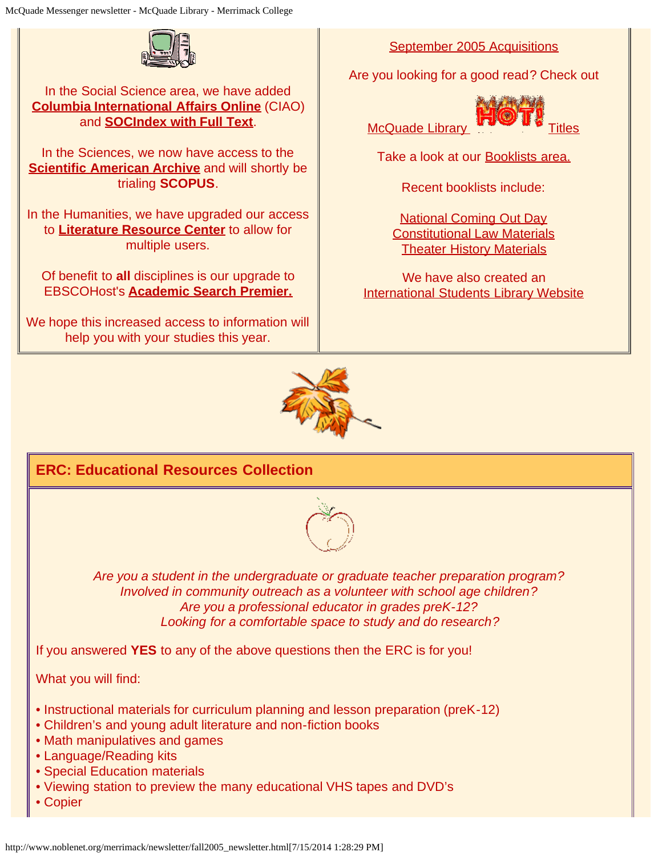

#### In the Social Science area, we have added **[Columbia International Affairs Online](http://www.noblenet.org/merrimack/dbs_on.htm#CIAO)** (CIAO) and **[SOCIndex with Full Text](http://www.noblenet.org/merrimack/dbs_on.htm#ebsocind)**.

In the Sciences, we now have access to the **[Scientific American Archive](http://www.noblenet.org/merrimack/dbs_on.htm#ebsciam)** and will shortly be trialing **SCOPUS**.

In the Humanities, we have upgraded our access to **[Literature Resource Center](http://www.noblenet.org/merrimack/dbs_on.htm#inlrc)** to allow for multiple users.

Of benefit to **all** disciplines is our upgrade to EBSCOHost's **[Academic Search Premier.](http://www.noblenet.org/merrimack/dbs_on.htm#ebacadprem)**

We hope this increased access to information will help you with your studies this year.

[September 2005 Acquisitions](http://www.noblenet.org/merrimack/booklists/2005_09.html)

Are you looking for a good read? Check out

McQuade Library **Titles** 



Take a look at our [Booklists area.](http://www.noblenet.org/merrimack/booklists/booklists.htm)

Recent booklists include:

[National Coming Out Day](http://www.noblenet.org/merrimack/booklists/ncod.html) [Constitutional Law Materials](http://www.noblenet.org/merrimack/booklists/constlaw.htm) **[Theater History Materials](http://www.noblenet.org/merrimack/booklists/theaterhistory.html)** 

We have also created an [International Students Library Website](http://www.noblenet.org/merrimack/International/welcome.htm)



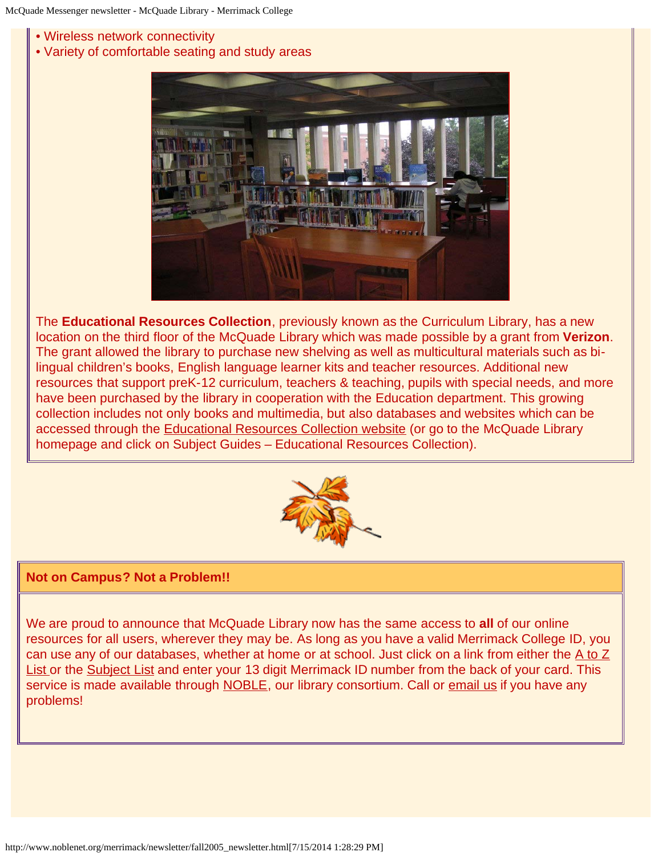- Wireless network connectivity
- Variety of comfortable seating and study areas



The **Educational Resources Collection**, previously known as the Curriculum Library, has a new location on the third floor of the McQuade Library which was made possible by a grant from **Verizon**. The grant allowed the library to purchase new shelving as well as multicultural materials such as bilingual children's books, English language learner kits and teacher resources. Additional new resources that support preK-12 curriculum, teachers & teaching, pupils with special needs, and more have been purchased by the library in cooperation with the Education department. This growing collection includes not only books and multimedia, but also databases and websites which can be accessed through the [Educational Resources Collection website](http://www.noblenet.org/merrimack/ERC/ERChome.htm) (or go to the McQuade Library homepage and click on Subject Guides – Educational Resources Collection).



#### **Not on Campus? Not a Problem!!**

We are proud to announce that McQuade Library now has the same access to **all** of our online resources for all users, wherever they may be. As long as you have a valid Merrimack College ID, you can use any of our databases, whether at home or at school. Just click on a link from either the  $A$  to  $Z$ [List](http://www.noblenet.org/merrimack/dbs_on.htm) or the [Subject List](http://www.noblenet.org/merrimack/dbs_onquick.htm) and enter your 13 digit Merrimack ID number from the back of your card. This service is made available through [NOBLE,](http://www.noblenet.org/noble.html) our library consortium. Call or [email us](mailto:%20merref@noblenet.org) if you have any problems!